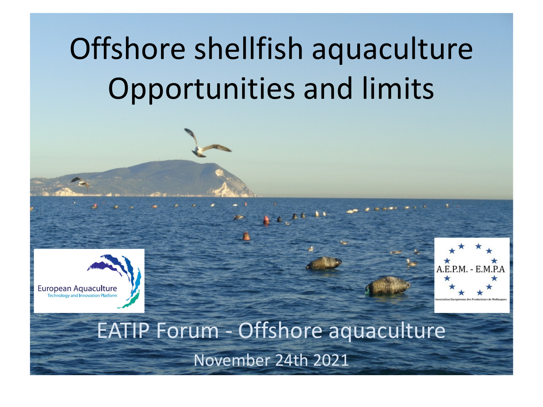# Offshore shellfish aquaculture Opportunities and limits





EATIP Forum - Offshore aquaculture November 24th 2021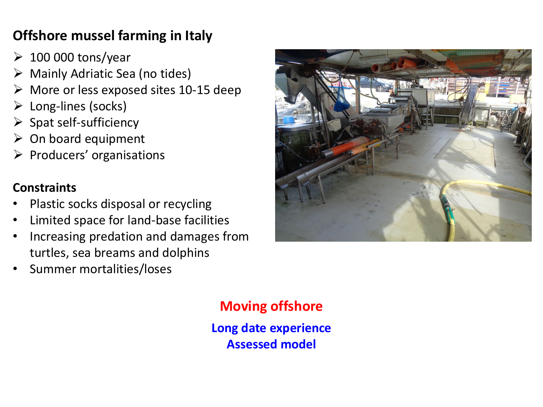# **Offshore mussel farming in Italy**

- $\geq 100 000$  tons/year
- Mainly Adriatic Sea (no tides)
- $\triangleright$  More or less exposed sites 10-15 deep
- $\triangleright$  Long-lines (socks)
- $\triangleright$  Spat self-sufficiency
- $\triangleright$  On board equipment
- $\triangleright$  Producers' organisations

#### **Constraints**

- Plastic socks disposal or recycling
- Limited space for land-base facilities
- Increasing predation and damages from turtles, sea breams and dolphins
- Summer mortalities/loses



**Moving offshore Long date experience Assessed model**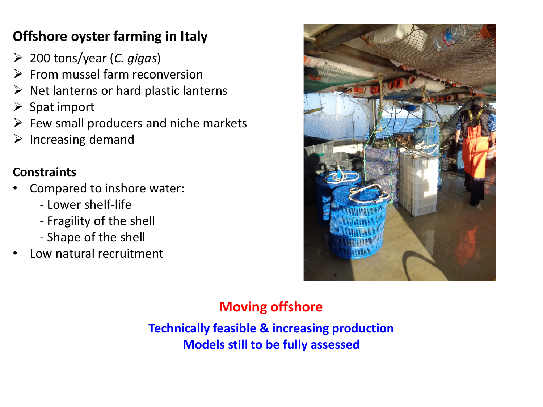# **Offshore oyster farming in Italy**

- 200 tons/year (*C. gigas*)
- $\triangleright$  From mussel farm reconversion
- $\triangleright$  Net lanterns or hard plastic lanterns
- $\triangleright$  Spat import
- $\triangleright$  Few small producers and niche markets
- $\triangleright$  Increasing demand

#### **Constraints**

- Compared to inshore water:
	- Lower shelf-life
	- Fragility of the shell
	- Shape of the shell
- Low natural recruitment



# **Moving offshore**

#### **Technically feasible & increasing production Models still to be fully assessed**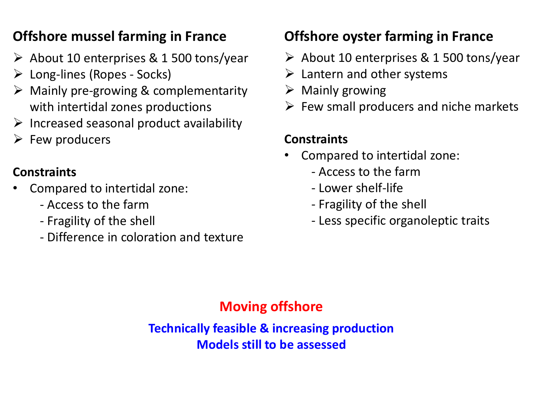# **Offshore mussel farming in France**

- $\triangleright$  About 10 enterprises & 1 500 tons/year
- $\triangleright$  Long-lines (Ropes Socks)
- $\triangleright$  Mainly pre-growing & complementarity with intertidal zones productions
- $\triangleright$  Increased seasonal product availability
- $\triangleright$  Few producers

#### **Constraints**

- Compared to intertidal zone:
	- Access to the farm
	- Fragility of the shell
	- Difference in coloration and texture

# **Offshore oyster farming in France**

- $\triangleright$  About 10 enterprises & 1 500 tons/year
- $\triangleright$  Lantern and other systems
- $\triangleright$  Mainly growing
- $\triangleright$  Few small producers and niche markets

#### **Constraints**

- Compared to intertidal zone:
	- Access to the farm
	- Lower shelf-life
	- Fragility of the shell
	- Less specific organoleptic traits

# **Moving offshore**

#### **Technically feasible & increasing production Models still to be assessed**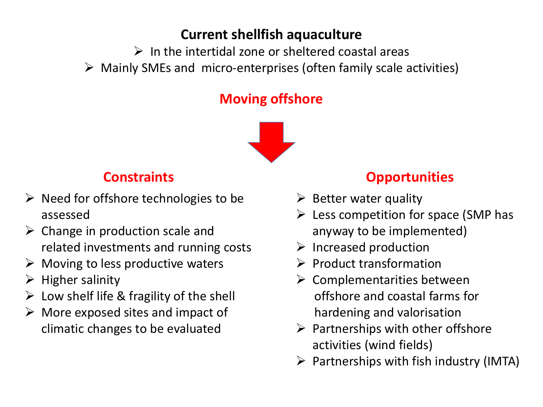#### **Current shellfish aquaculture**

#### $\triangleright$  In the intertidal zone or sheltered coastal areas

Mainly SMEs and micro-enterprises (often family scale activities)

## **Moving offshore**



## **Constraints**

- $\triangleright$  Need for offshore technologies to be assessed
- $\triangleright$  Change in production scale and related investments and running costs
- $\triangleright$  Moving to less productive waters
- $\triangleright$  Higher salinity
- $\triangleright$  Low shelf life & fragility of the shell
- $\triangleright$  More exposed sites and impact of climatic changes to be evaluated

# **Opportunities**

- $\triangleright$  Better water quality
- $\triangleright$  Less competition for space (SMP has anyway to be implemented)
- $\triangleright$  Increased production
- $\triangleright$  Product transformation
- $\triangleright$  Complementarities between offshore and coastal farms for hardening and valorisation
- $\triangleright$  Partnerships with other offshore activities (wind fields)
- $\triangleright$  Partnerships with fish industry (IMTA)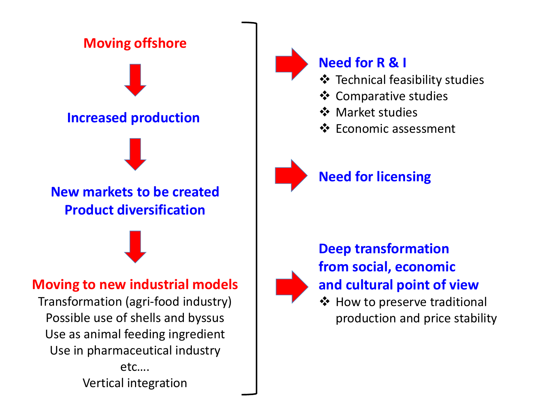

#### **Moving to new industrial models**

Transformation (agri-food industry) Possible use of shells and byssus Use as animal feeding ingredient Use in pharmaceutical industry etc…. Vertical integration



# **Need for R & I**

- Technical feasibility studies
- **❖** Comparative studies
- ❖ Market studies
- ❖ Economic assessment





# **Deep transformation from social, economic and cultural point of view**

❖ How to preserve traditional production and price stability